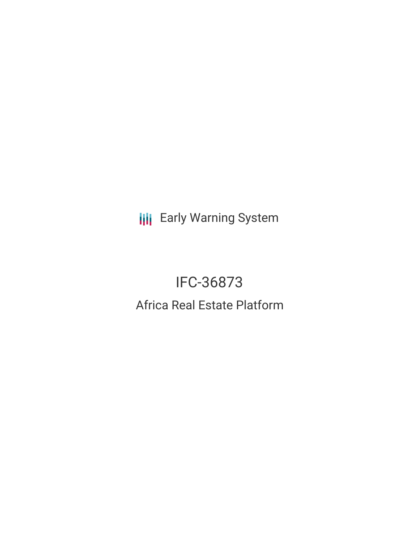**III** Early Warning System

# IFC-36873 Africa Real Estate Platform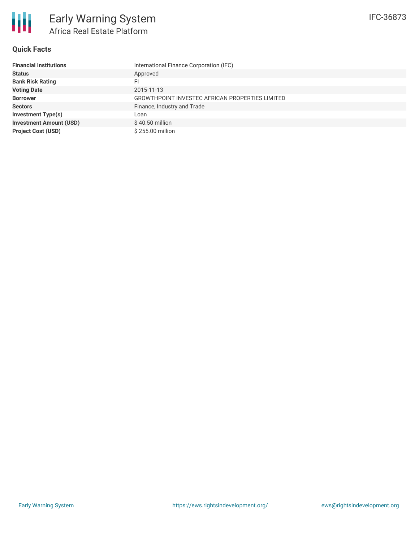#### **Quick Facts**

| <b>Financial Institutions</b>  | International Finance Corporation (IFC)         |
|--------------------------------|-------------------------------------------------|
| <b>Status</b>                  | Approved                                        |
| <b>Bank Risk Rating</b>        | FI                                              |
| <b>Voting Date</b>             | 2015-11-13                                      |
| <b>Borrower</b>                | GROWTHPOINT INVESTEC AFRICAN PROPERTIES LIMITED |
| <b>Sectors</b>                 | Finance, Industry and Trade                     |
| <b>Investment Type(s)</b>      | Loan                                            |
| <b>Investment Amount (USD)</b> | $$40.50$ million                                |
| <b>Project Cost (USD)</b>      | \$255.00 million                                |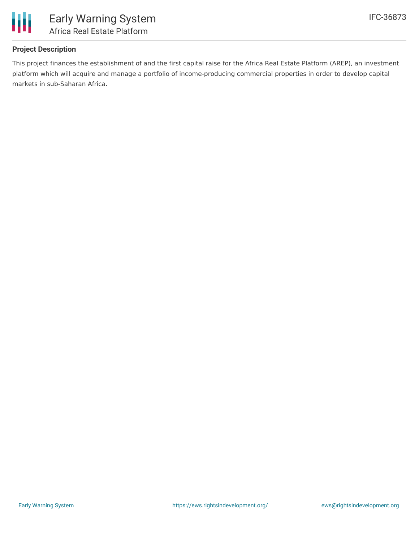

## **Project Description**

This project finances the establishment of and the first capital raise for the Africa Real Estate Platform (AREP), an investment platform which will acquire and manage a portfolio of income-producing commercial properties in order to develop capital markets in sub-Saharan Africa.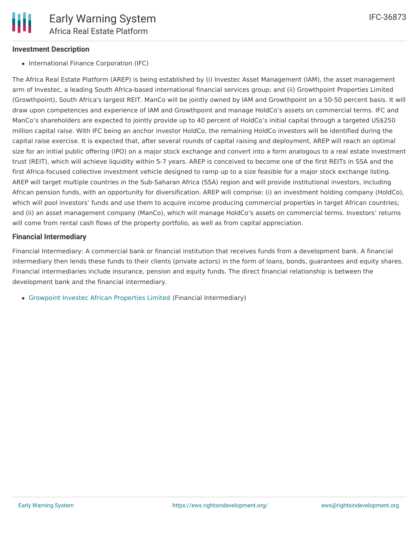## **Investment Description**

• International Finance Corporation (IFC)

The Africa Real Estate Platform (AREP) is being established by (i) Investec Asset Management (IAM), the asset management arm of Investec, a leading South Africa-based international financial services group; and (ii) Growthpoint Properties Limited (Growthpoint), South Africa's largest REIT. ManCo will be jointly owned by IAM and Growthpoint on a 50-50 percent basis. It will draw upon competences and experience of IAM and Growthpoint and manage HoldCo's assets on commercial terms. IFC and ManCo's shareholders are expected to jointly provide up to 40 percent of HoldCo's initial capital through a targeted US\$250 million capital raise. With IFC being an anchor investor HoldCo, the remaining HoldCo investors will be identified during the capital raise exercise. It is expected that, after several rounds of capital raising and deployment, AREP will reach an optimal size for an initial public offering (IPO) on a major stock exchange and convert into a form analogous to a real estate investment trust (REIT), which will achieve liquidity within 5-7 years. AREP is conceived to become one of the first REITs in SSA and the first Africa-focused collective investment vehicle designed to ramp up to a size feasible for a major stock exchange listing. AREP will target multiple countries in the Sub-Saharan Africa (SSA) region and will provide institutional investors, including African pension funds, with an opportunity for diversification. AREP will comprise: (i) an investment holding company (HoldCo), which will pool investors' funds and use them to acquire income producing commercial properties in target African countries; and (ii) an asset management company (ManCo), which will manage HoldCo's assets on commercial terms. Investors' returns will come from rental cash flows of the property portfolio, as well as from capital appreciation.

#### **Financial Intermediary**

Financial Intermediary: A commercial bank or financial institution that receives funds from a development bank. A financial intermediary then lends these funds to their clients (private actors) in the form of loans, bonds, guarantees and equity shares. Financial intermediaries include insurance, pension and equity funds. The direct financial relationship is between the development bank and the financial intermediary.

[Growpoint](file:///actor/1229/) Investec African Properties Limited (Financial Intermediary)